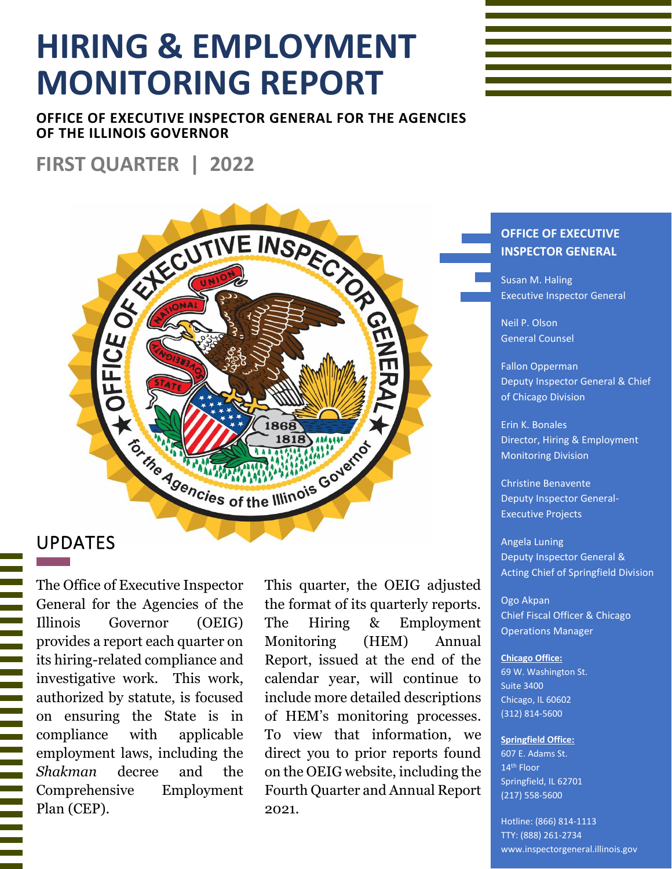# **HIRING & EMPLOYMENT MONITORING REPORT**

**OFFICE OF EXECUTIVE INSPECTOR GENERAL FOR THE AGENCIES OF THE ILLINOIS GOVERNOR**

## **FIRST QUARTER | 2022**

# HELCE OF THE INSPECT **Extra Agencies of the Illinois Governor**

#### UPDATES

The Office of Executive Inspector General for the Agencies of the Illinois Governor (OEIG) provides a report each quarter on its hiring-related compliance and investigative work. This work, authorized by statute, is focused on ensuring the State is in compliance with applicable employment laws, including the *Shakman* decree and the Comprehensive Employment Plan (CEP).

This quarter, the OEIG adjusted the format of its quarterly reports. The Hiring & Employment Monitoring (HEM) Annual Report, issued at the end of the calendar year, will continue to include more detailed descriptions of HEM's monitoring processes. To view that information, we direct you to prior reports found on the OEIG website, including the Fourth Quarter and Annual Report 2021.

#### **OFFICE OF EXECUTIVE INSPECTOR GENERAL**

Susan M. Haling Executive Inspector General

Neil P. Olson General Counsel

Fallon Opperman Deputy Inspector General & Chief of Chicago Division

Erin K. Bonales Director, Hiring & Employment Monitoring Division

Christine Benavente Deputy Inspector General-Executive Projects

Angela Luning Deputy Inspector General & Acting Chief of Springfield Division

Ogo Akpan Chief Fiscal Officer & Chicago Operations Manager

#### **Chicago Office:**

69 W. Washington St. Suite 3400 Chicago, IL 60602 (312) 814-5600

#### **Springfield Office:**

607 E. Adams St. 14th Floor Springfield, IL 62701 (217) 558-5600

Hotline: (866) 814-1113 TTY: (888) 261-2734 www.inspectorgeneral.illinois.gov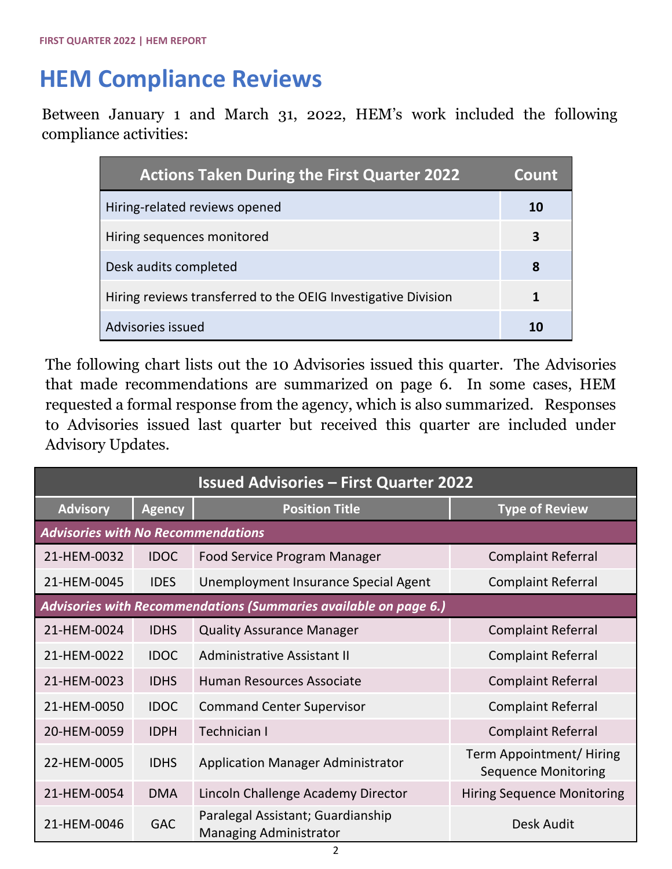## **HEM Compliance Reviews**

Between January 1 and March 31, 2022, HEM's work included the following compliance activities:

| <b>Actions Taken During the First Quarter 2022</b>            | <b>Count</b> |
|---------------------------------------------------------------|--------------|
| Hiring-related reviews opened                                 | 10           |
| Hiring sequences monitored                                    | 3            |
| Desk audits completed                                         | 8            |
| Hiring reviews transferred to the OEIG Investigative Division |              |
| Advisories issued                                             |              |

The following chart lists out the 10 Advisories issued this quarter. The Advisories that made recommendations are summarized on page 6. In some cases, HEM requested a formal response from the agency, which is also summarized. Responses to Advisories issued last quarter but received this quarter are included under Advisory Updates.

| <b>Issued Advisories - First Quarter 2022</b>                    |               |                                                                    |                                                       |  |
|------------------------------------------------------------------|---------------|--------------------------------------------------------------------|-------------------------------------------------------|--|
| <b>Advisory</b>                                                  | <b>Agency</b> | <b>Position Title</b>                                              | <b>Type of Review</b>                                 |  |
| <b>Advisories with No Recommendations</b>                        |               |                                                                    |                                                       |  |
| 21-HEM-0032                                                      | <b>IDOC</b>   | <b>Food Service Program Manager</b>                                | <b>Complaint Referral</b>                             |  |
| 21-HEM-0045                                                      | <b>IDES</b>   | Unemployment Insurance Special Agent                               | <b>Complaint Referral</b>                             |  |
| Advisories with Recommendations (Summaries available on page 6.) |               |                                                                    |                                                       |  |
| 21-HEM-0024                                                      | <b>IDHS</b>   | <b>Quality Assurance Manager</b>                                   | <b>Complaint Referral</b>                             |  |
| 21-HEM-0022                                                      | <b>IDOC</b>   | Administrative Assistant II                                        | <b>Complaint Referral</b>                             |  |
| 21-HEM-0023                                                      | <b>IDHS</b>   | Human Resources Associate                                          | <b>Complaint Referral</b>                             |  |
| 21-HEM-0050                                                      | <b>IDOC</b>   | <b>Command Center Supervisor</b>                                   | <b>Complaint Referral</b>                             |  |
| 20-HEM-0059                                                      | <b>IDPH</b>   | Technician I                                                       | <b>Complaint Referral</b>                             |  |
| 22-HEM-0005                                                      | <b>IDHS</b>   | <b>Application Manager Administrator</b>                           | Term Appointment/Hiring<br><b>Sequence Monitoring</b> |  |
| 21-HEM-0054                                                      | <b>DMA</b>    | Lincoln Challenge Academy Director                                 | <b>Hiring Sequence Monitoring</b>                     |  |
| 21-HEM-0046                                                      | <b>GAC</b>    | Paralegal Assistant; Guardianship<br><b>Managing Administrator</b> | Desk Audit                                            |  |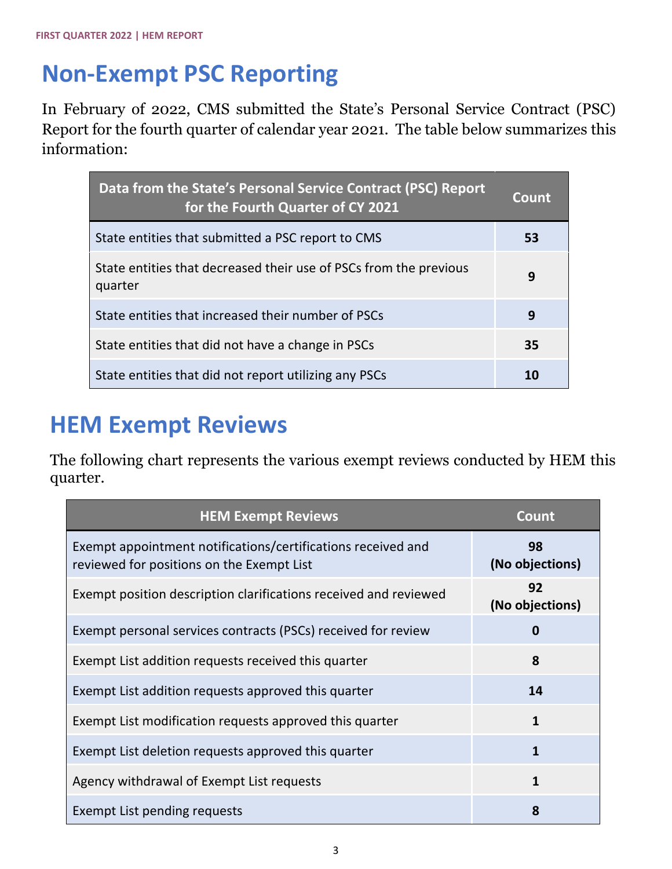## **Non-Exempt PSC Reporting**

In February of 2022, CMS submitted the State's Personal Service Contract (PSC) Report for the fourth quarter of calendar year 2021. The table below summarizes this information:

| Data from the State's Personal Service Contract (PSC) Report<br>for the Fourth Quarter of CY 2021 | Count |
|---------------------------------------------------------------------------------------------------|-------|
| State entities that submitted a PSC report to CMS                                                 | 53    |
| State entities that decreased their use of PSCs from the previous<br>quarter                      | 9     |
| State entities that increased their number of PSCs                                                | 9     |
| State entities that did not have a change in PSCs                                                 | 35    |
| State entities that did not report utilizing any PSCs                                             |       |

## **HEM Exempt Reviews**

The following chart represents the various exempt reviews conducted by HEM this quarter.

| <b>HEM Exempt Reviews</b>                                                                                 | Count                 |
|-----------------------------------------------------------------------------------------------------------|-----------------------|
| Exempt appointment notifications/certifications received and<br>reviewed for positions on the Exempt List | 98<br>(No objections) |
| Exempt position description clarifications received and reviewed                                          | 92<br>(No objections) |
| Exempt personal services contracts (PSCs) received for review                                             | $\bf{0}$              |
| Exempt List addition requests received this quarter                                                       | 8                     |
| Exempt List addition requests approved this quarter                                                       | 14                    |
| Exempt List modification requests approved this quarter                                                   | $\mathbf{1}$          |
| Exempt List deletion requests approved this quarter                                                       | $\mathbf{1}$          |
| Agency withdrawal of Exempt List requests                                                                 | $\mathbf{1}$          |
| Exempt List pending requests                                                                              | 8                     |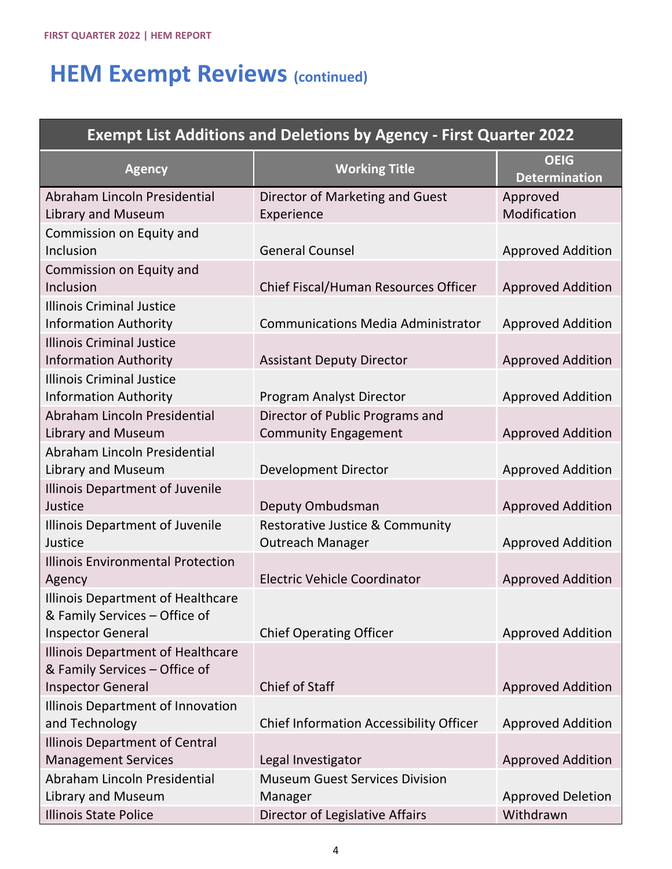# **HEM Exempt Reviews (continued)**

| <b>Exempt List Additions and Deletions by Agency - First Quarter 2022</b> |                                                                       |                                     |  |  |
|---------------------------------------------------------------------------|-----------------------------------------------------------------------|-------------------------------------|--|--|
| <b>Agency</b>                                                             | <b>Working Title</b>                                                  | <b>OEIG</b><br><b>Determination</b> |  |  |
| Abraham Lincoln Presidential<br>Library and Museum                        | Director of Marketing and Guest<br>Experience                         | Approved<br>Modification            |  |  |
| Commission on Equity and<br>Inclusion                                     | <b>General Counsel</b>                                                | <b>Approved Addition</b>            |  |  |
| Commission on Equity and<br>Inclusion                                     | Chief Fiscal/Human Resources Officer                                  | <b>Approved Addition</b>            |  |  |
| <b>Illinois Criminal Justice</b><br><b>Information Authority</b>          | <b>Communications Media Administrator</b>                             | <b>Approved Addition</b>            |  |  |
| <b>Illinois Criminal Justice</b><br><b>Information Authority</b>          | <b>Assistant Deputy Director</b>                                      | <b>Approved Addition</b>            |  |  |
| <b>Illinois Criminal Justice</b><br><b>Information Authority</b>          | <b>Program Analyst Director</b>                                       | <b>Approved Addition</b>            |  |  |
| Abraham Lincoln Presidential<br><b>Library and Museum</b>                 | Director of Public Programs and<br><b>Community Engagement</b>        | <b>Approved Addition</b>            |  |  |
| Abraham Lincoln Presidential<br>Library and Museum                        | <b>Development Director</b>                                           | <b>Approved Addition</b>            |  |  |
| Illinois Department of Juvenile<br>Justice                                | Deputy Ombudsman                                                      | <b>Approved Addition</b>            |  |  |
| Illinois Department of Juvenile<br>Justice                                | <b>Restorative Justice &amp; Community</b><br><b>Outreach Manager</b> | <b>Approved Addition</b>            |  |  |
| <b>Illinois Environmental Protection</b><br>Agency                        | <b>Electric Vehicle Coordinator</b>                                   | <b>Approved Addition</b>            |  |  |
| Illinois Department of Healthcare<br>& Family Services - Office of        |                                                                       |                                     |  |  |
| <b>Inspector General</b><br>Illinois Department of Healthcare             | <b>Chief Operating Officer</b>                                        | <b>Approved Addition</b>            |  |  |
| & Family Services - Office of<br><b>Inspector General</b>                 | <b>Chief of Staff</b>                                                 | <b>Approved Addition</b>            |  |  |
| Illinois Department of Innovation<br>and Technology                       | <b>Chief Information Accessibility Officer</b>                        | <b>Approved Addition</b>            |  |  |
| <b>Illinois Department of Central</b><br><b>Management Services</b>       | Legal Investigator                                                    | <b>Approved Addition</b>            |  |  |
| Abraham Lincoln Presidential<br>Library and Museum                        | <b>Museum Guest Services Division</b><br>Manager                      | <b>Approved Deletion</b>            |  |  |
| <b>Illinois State Police</b>                                              | Director of Legislative Affairs                                       | Withdrawn                           |  |  |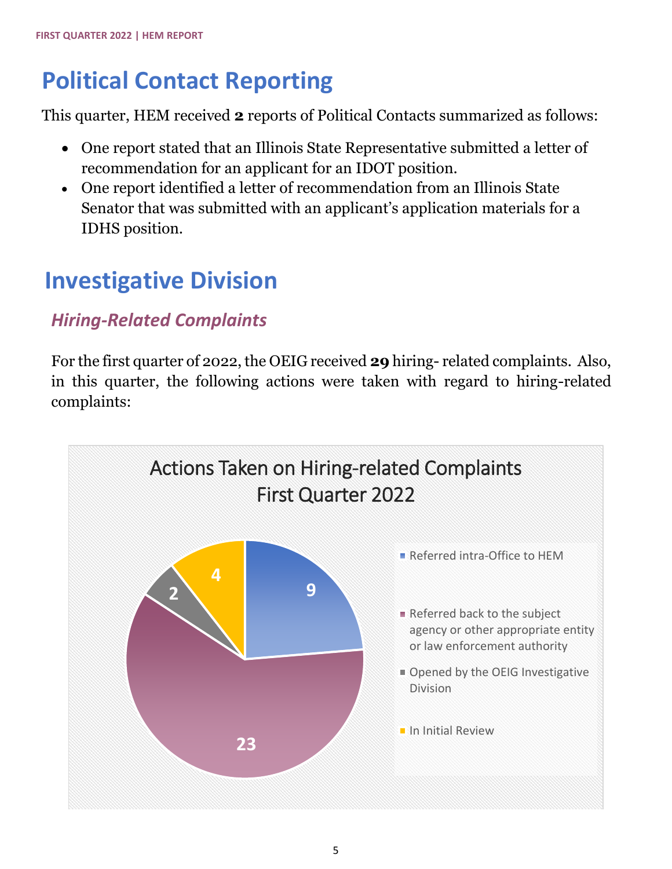# **Political Contact Reporting**

This quarter, HEM received **2** reports of Political Contacts summarized as follows:

- One report stated that an Illinois State Representative submitted a letter of recommendation for an applicant for an IDOT position.
- One report identified a letter of recommendation from an Illinois State Senator that was submitted with an applicant's application materials for a IDHS position.

## **Investigative Division**

## *Hiring-Related Complaints*

For the first quarter of 2022, the OEIG received **29** hiring- related complaints. Also, in this quarter, the following actions were taken with regard to hiring-related complaints:

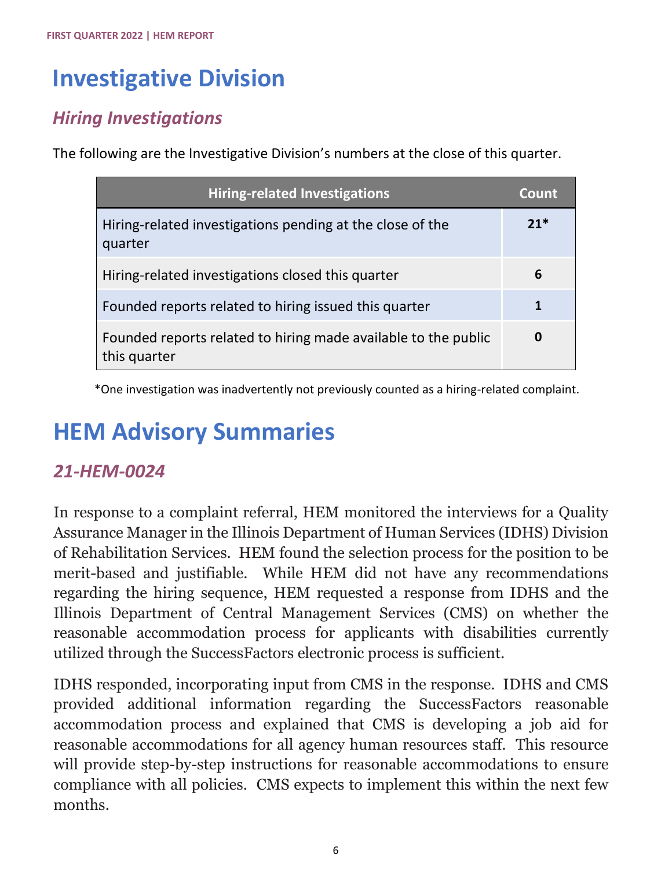## **Investigative Division**

### *Hiring Investigations*

The following are the Investigative Division's numbers at the close of this quarter.

| <b>Hiring-related Investigations</b>                                           | Count |
|--------------------------------------------------------------------------------|-------|
| Hiring-related investigations pending at the close of the<br>quarter           | $21*$ |
| Hiring-related investigations closed this quarter                              | 6     |
| Founded reports related to hiring issued this quarter                          |       |
| Founded reports related to hiring made available to the public<br>this quarter |       |

\*One investigation was inadvertently not previously counted as a hiring-related complaint.

## **HEM Advisory Summaries**

#### *21-HEM-0024*

In response to a complaint referral, HEM monitored the interviews for a Quality Assurance Manager in the Illinois Department of Human Services (IDHS) Division of Rehabilitation Services. HEM found the selection process for the position to be merit-based and justifiable. While HEM did not have any recommendations regarding the hiring sequence, HEM requested a response from IDHS and the Illinois Department of Central Management Services (CMS) on whether the reasonable accommodation process for applicants with disabilities currently utilized through the SuccessFactors electronic process is sufficient.

IDHS responded, incorporating input from CMS in the response. IDHS and CMS provided additional information regarding the SuccessFactors reasonable accommodation process and explained that CMS is developing a job aid for reasonable accommodations for all agency human resources staff. This resource will provide step-by-step instructions for reasonable accommodations to ensure compliance with all policies. CMS expects to implement this within the next few months.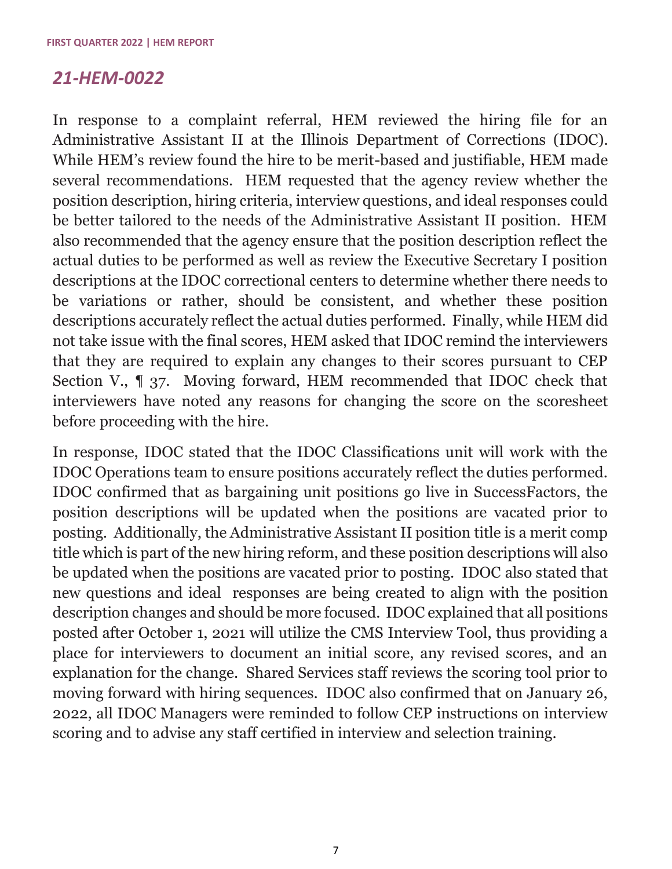#### *21-HEM-0022*

In response to a complaint referral, HEM reviewed the hiring file for an Administrative Assistant II at the Illinois Department of Corrections (IDOC). While HEM's review found the hire to be merit-based and justifiable, HEM made several recommendations. HEM requested that the agency review whether the position description, hiring criteria, interview questions, and ideal responses could be better tailored to the needs of the Administrative Assistant II position. HEM also recommended that the agency ensure that the position description reflect the actual duties to be performed as well as review the Executive Secretary I position descriptions at the IDOC correctional centers to determine whether there needs to be variations or rather, should be consistent, and whether these position descriptions accurately reflect the actual duties performed. Finally, while HEM did not take issue with the final scores, HEM asked that IDOC remind the interviewers that they are required to explain any changes to their scores pursuant to CEP Section V., ¶ 37. Moving forward, HEM recommended that IDOC check that interviewers have noted any reasons for changing the score on the scoresheet before proceeding with the hire.

In response, IDOC stated that the IDOC Classifications unit will work with the IDOC Operations team to ensure positions accurately reflect the duties performed. IDOC confirmed that as bargaining unit positions go live in SuccessFactors, the position descriptions will be updated when the positions are vacated prior to posting. Additionally, the Administrative Assistant II position title is a merit comp title which is part of the new hiring reform, and these position descriptions will also be updated when the positions are vacated prior to posting. IDOC also stated that new questions and ideal responses are being created to align with the position description changes and should be more focused. IDOC explained that all positions posted after October 1, 2021 will utilize the CMS Interview Tool, thus providing a place for interviewers to document an initial score, any revised scores, and an explanation for the change. Shared Services staff reviews the scoring tool prior to moving forward with hiring sequences. IDOC also confirmed that on January 26, 2022, all IDOC Managers were reminded to follow CEP instructions on interview scoring and to advise any staff certified in interview and selection training.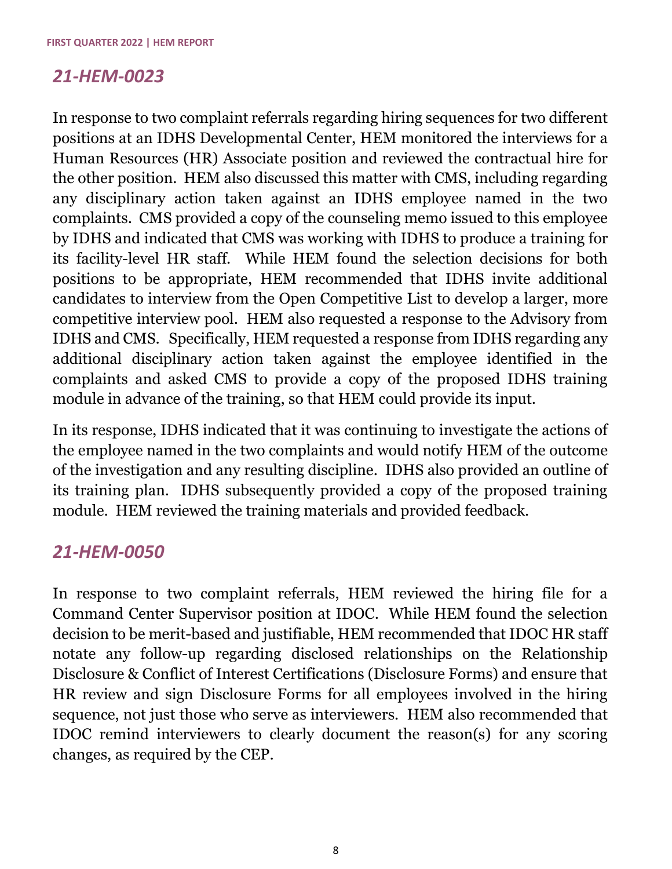#### *21-HEM-0023*

In response to two complaint referrals regarding hiring sequences for two different positions at an IDHS Developmental Center, HEM monitored the interviews for a Human Resources (HR) Associate position and reviewed the contractual hire for the other position. HEM also discussed this matter with CMS, including regarding any disciplinary action taken against an IDHS employee named in the two complaints. CMS provided a copy of the counseling memo issued to this employee by IDHS and indicated that CMS was working with IDHS to produce a training for its facility-level HR staff. While HEM found the selection decisions for both positions to be appropriate, HEM recommended that IDHS invite additional candidates to interview from the Open Competitive List to develop a larger, more competitive interview pool. HEM also requested a response to the Advisory from IDHS and CMS. Specifically, HEM requested a response from IDHS regarding any additional disciplinary action taken against the employee identified in the complaints and asked CMS to provide a copy of the proposed IDHS training module in advance of the training, so that HEM could provide its input.

In its response, IDHS indicated that it was continuing to investigate the actions of the employee named in the two complaints and would notify HEM of the outcome of the investigation and any resulting discipline. IDHS also provided an outline of its training plan. IDHS subsequently provided a copy of the proposed training module. HEM reviewed the training materials and provided feedback.

#### *21-HEM-0050*

In response to two complaint referrals, HEM reviewed the hiring file for a Command Center Supervisor position at IDOC. While HEM found the selection decision to be merit-based and justifiable, HEM recommended that IDOC HR staff notate any follow-up regarding disclosed relationships on the Relationship Disclosure & Conflict of Interest Certifications (Disclosure Forms) and ensure that HR review and sign Disclosure Forms for all employees involved in the hiring sequence, not just those who serve as interviewers. HEM also recommended that IDOC remind interviewers to clearly document the reason(s) for any scoring changes, as required by the CEP.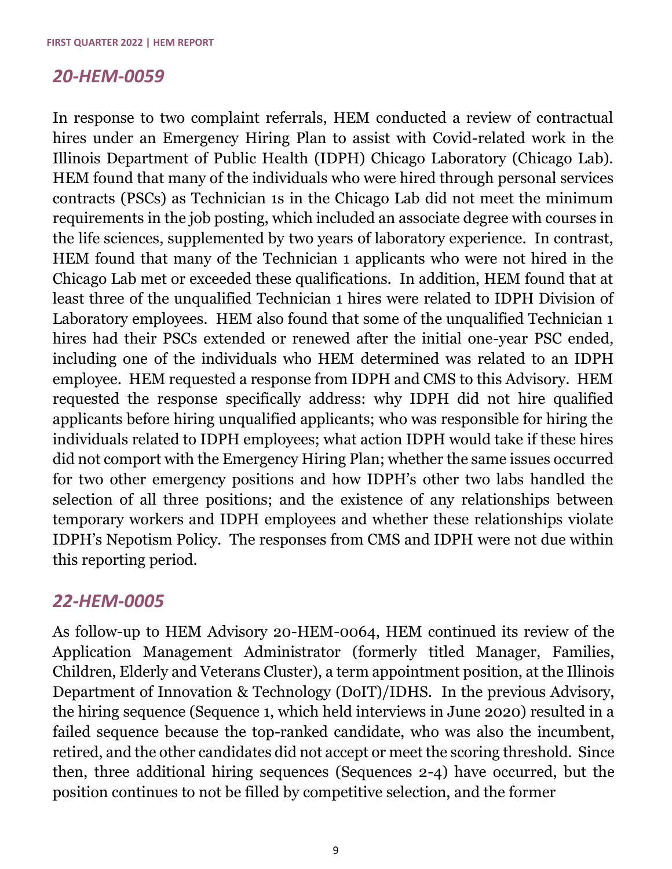#### *20-HEM-0059*

In response to two complaint referrals, HEM conducted a review of contractual hires under an Emergency Hiring Plan to assist with Covid-related work in the Illinois Department of Public Health (IDPH) Chicago Laboratory (Chicago Lab). HEM found that many of the individuals who were hired through personal services contracts (PSCs) as Technician 1s in the Chicago Lab did not meet the minimum requirements in the job posting, which included an associate degree with courses in the life sciences, supplemented by two years of laboratory experience. In contrast, HEM found that many of the Technician 1 applicants who were not hired in the Chicago Lab met or exceeded these qualifications. In addition, HEM found that at least three of the unqualified Technician 1 hires were related to IDPH Division of Laboratory employees. HEM also found that some of the unqualified Technician 1 hires had their PSCs extended or renewed after the initial one-year PSC ended, including one of the individuals who HEM determined was related to an IDPH employee. HEM requested a response from IDPH and CMS to this Advisory. HEM requested the response specifically address: why IDPH did not hire qualified applicants before hiring unqualified applicants; who was responsible for hiring the individuals related to IDPH employees; what action IDPH would take if these hires did not comport with the Emergency Hiring Plan; whether the same issues occurred for two other emergency positions and how IDPH's other two labs handled the selection of all three positions; and the existence of any relationships between temporary workers and IDPH employees and whether these relationships violate IDPH's Nepotism Policy. The responses from CMS and IDPH were not due within this reporting period.

#### *22-HEM-0005*

As follow-up to HEM Advisory 20-HEM-0064, HEM continued its review of the Application Management Administrator (formerly titled Manager, Families, Children, Elderly and Veterans Cluster), a term appointment position, at the Illinois Department of Innovation & Technology (DoIT)/IDHS. In the previous Advisory, the hiring sequence (Sequence 1, which held interviews in June 2020) resulted in a failed sequence because the top-ranked candidate, who was also the incumbent, retired, and the other candidates did not accept or meet the scoring threshold. Since then, three additional hiring sequences (Sequences 2-4) have occurred, but the position continues to not be filled by competitive selection, and the former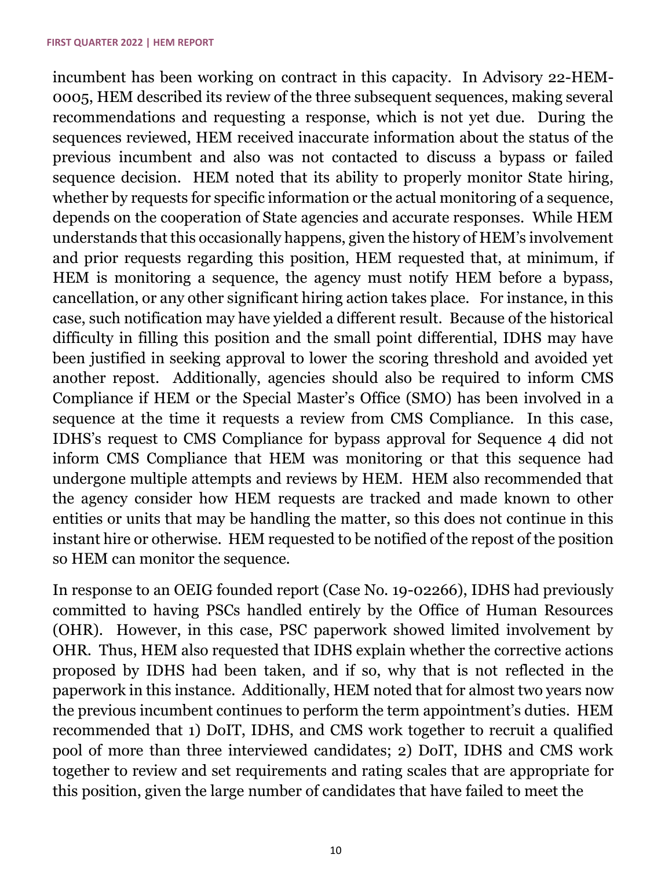incumbent has been working on contract in this capacity. In Advisory 22-HEM-0005, HEM described its review of the three subsequent sequences, making several recommendations and requesting a response, which is not yet due. During the sequences reviewed, HEM received inaccurate information about the status of the previous incumbent and also was not contacted to discuss a bypass or failed sequence decision. HEM noted that its ability to properly monitor State hiring, whether by requests for specific information or the actual monitoring of a sequence, depends on the cooperation of State agencies and accurate responses. While HEM understands that this occasionally happens, given the history of HEM's involvement and prior requests regarding this position, HEM requested that, at minimum, if HEM is monitoring a sequence, the agency must notify HEM before a bypass, cancellation, or any other significant hiring action takes place. For instance, in this case, such notification may have yielded a different result. Because of the historical difficulty in filling this position and the small point differential, IDHS may have been justified in seeking approval to lower the scoring threshold and avoided yet another repost. Additionally, agencies should also be required to inform CMS Compliance if HEM or the Special Master's Office (SMO) has been involved in a sequence at the time it requests a review from CMS Compliance. In this case, IDHS's request to CMS Compliance for bypass approval for Sequence 4 did not inform CMS Compliance that HEM was monitoring or that this sequence had undergone multiple attempts and reviews by HEM. HEM also recommended that the agency consider how HEM requests are tracked and made known to other entities or units that may be handling the matter, so this does not continue in this instant hire or otherwise. HEM requested to be notified of the repost of the position so HEM can monitor the sequence.

In response to an OEIG founded report (Case No. 19-02266), IDHS had previously committed to having PSCs handled entirely by the Office of Human Resources (OHR). However, in this case, PSC paperwork showed limited involvement by OHR. Thus, HEM also requested that IDHS explain whether the corrective actions proposed by IDHS had been taken, and if so, why that is not reflected in the paperwork in this instance. Additionally, HEM noted that for almost two years now the previous incumbent continues to perform the term appointment's duties. HEM recommended that 1) DoIT, IDHS, and CMS work together to recruit a qualified pool of more than three interviewed candidates; 2) DoIT, IDHS and CMS work together to review and set requirements and rating scales that are appropriate for this position, given the large number of candidates that have failed to meet the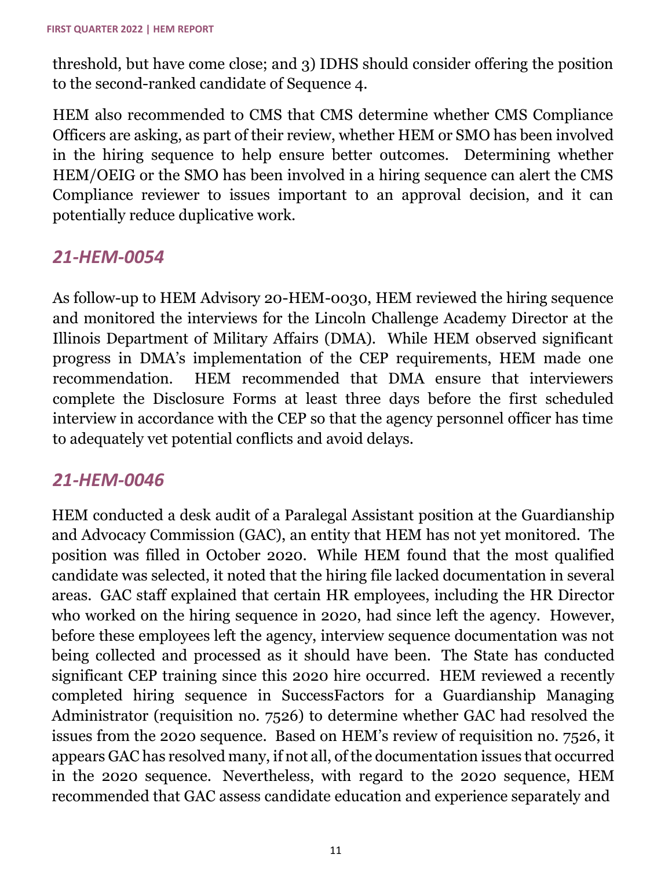threshold, but have come close; and 3) IDHS should consider offering the position to the second-ranked candidate of Sequence 4.

HEM also recommended to CMS that CMS determine whether CMS Compliance Officers are asking, as part of their review, whether HEM or SMO has been involved in the hiring sequence to help ensure better outcomes. Determining whether HEM/OEIG or the SMO has been involved in a hiring sequence can alert the CMS Compliance reviewer to issues important to an approval decision, and it can potentially reduce duplicative work.

#### *21-HEM-0054*

As follow-up to HEM Advisory 20-HEM-0030, HEM reviewed the hiring sequence and monitored the interviews for the Lincoln Challenge Academy Director at the Illinois Department of Military Affairs (DMA). While HEM observed significant progress in DMA's implementation of the CEP requirements, HEM made one recommendation. HEM recommended that DMA ensure that interviewers complete the Disclosure Forms at least three days before the first scheduled interview in accordance with the CEP so that the agency personnel officer has time to adequately vet potential conflicts and avoid delays.

#### *21-HEM-0046*

HEM conducted a desk audit of a Paralegal Assistant position at the Guardianship and Advocacy Commission (GAC), an entity that HEM has not yet monitored. The position was filled in October 2020. While HEM found that the most qualified candidate was selected, it noted that the hiring file lacked documentation in several areas. GAC staff explained that certain HR employees, including the HR Director who worked on the hiring sequence in 2020, had since left the agency. However, before these employees left the agency, interview sequence documentation was not being collected and processed as it should have been. The State has conducted significant CEP training since this 2020 hire occurred. HEM reviewed a recently completed hiring sequence in SuccessFactors for a Guardianship Managing Administrator (requisition no. 7526) to determine whether GAC had resolved the issues from the 2020 sequence. Based on HEM's review of requisition no. 7526, it appears GAC has resolved many, if not all, of the documentation issues that occurred in the 2020 sequence. Nevertheless, with regard to the 2020 sequence, HEM recommended that GAC assess candidate education and experience separately and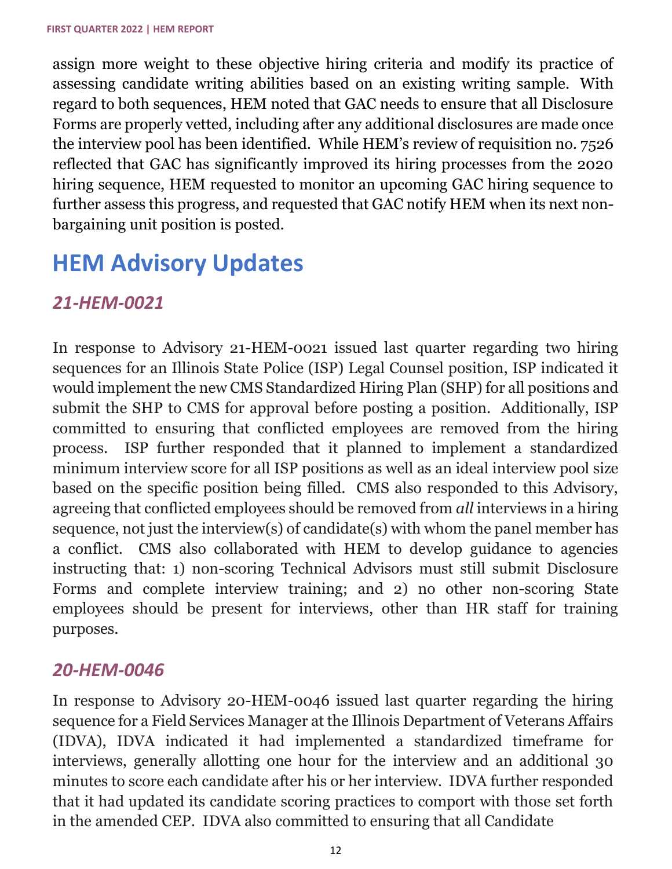assign more weight to these objective hiring criteria and modify its practice of assessing candidate writing abilities based on an existing writing sample. With regard to both sequences, HEM noted that GAC needs to ensure that all Disclosure Forms are properly vetted, including after any additional disclosures are made once the interview pool has been identified. While HEM's review of requisition no. 7526 reflected that GAC has significantly improved its hiring processes from the 2020 hiring sequence, HEM requested to monitor an upcoming GAC hiring sequence to further assess this progress, and requested that GAC notify HEM when its next nonbargaining unit position is posted.

## **HEM Advisory Updates**

#### *21-HEM-0021*

In response to Advisory 21-HEM-0021 issued last quarter regarding two hiring sequences for an Illinois State Police (ISP) Legal Counsel position, ISP indicated it would implement the new CMS Standardized Hiring Plan (SHP) for all positions and submit the SHP to CMS for approval before posting a position. Additionally, ISP committed to ensuring that conflicted employees are removed from the hiring process. ISP further responded that it planned to implement a standardized minimum interview score for all ISP positions as well as an ideal interview pool size based on the specific position being filled. CMS also responded to this Advisory, agreeing that conflicted employees should be removed from *all* interviews in a hiring sequence, not just the interview(s) of candidate(s) with whom the panel member has a conflict. CMS also collaborated with HEM to develop guidance to agencies instructing that: 1) non-scoring Technical Advisors must still submit Disclosure Forms and complete interview training; and 2) no other non-scoring State employees should be present for interviews, other than HR staff for training purposes.

#### *20-HEM-0046*

In response to Advisory 20-HEM-0046 issued last quarter regarding the hiring sequence for a Field Services Manager at the Illinois Department of Veterans Affairs (IDVA), IDVA indicated it had implemented a standardized timeframe for interviews, generally allotting one hour for the interview and an additional 30 minutes to score each candidate after his or her interview. IDVA further responded that it had updated its candidate scoring practices to comport with those set forth in the amended CEP. IDVA also committed to ensuring that all Candidate